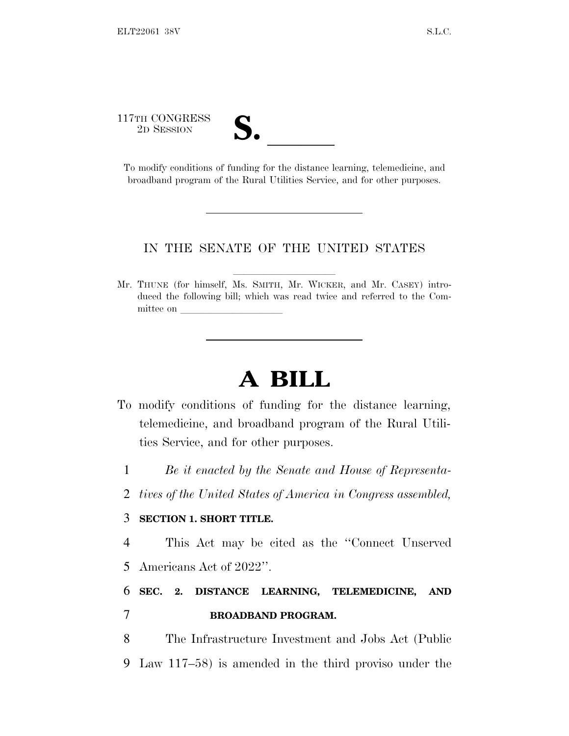117TH CONGRESS

17TH CONGRESS<br>
2D SESSION<br>
To modify conditions of funding for the distance learning, telemedicine, and broadband program of the Rural Utilities Service, and for other purposes.

## IN THE SENATE OF THE UNITED STATES

Mr. THUNE (for himself, Ms. SMITH, Mr. WICKER, and Mr. CASEY) introduced the following bill; which was read twice and referred to the Committee on

## **A BILL**

- To modify conditions of funding for the distance learning, telemedicine, and broadband program of the Rural Utilities Service, and for other purposes.
	- 1 *Be it enacted by the Senate and House of Representa-*
	- 2 *tives of the United States of America in Congress assembled,*

## 3 **SECTION 1. SHORT TITLE.**

4 This Act may be cited as the ''Connect Unserved 5 Americans Act of 2022''.

## 6 **SEC. 2. DISTANCE LEARNING, TELEMEDICINE, AND** 7 **BROADBAND PROGRAM.**

8 The Infrastructure Investment and Jobs Act (Public 9 Law 117–58) is amended in the third proviso under the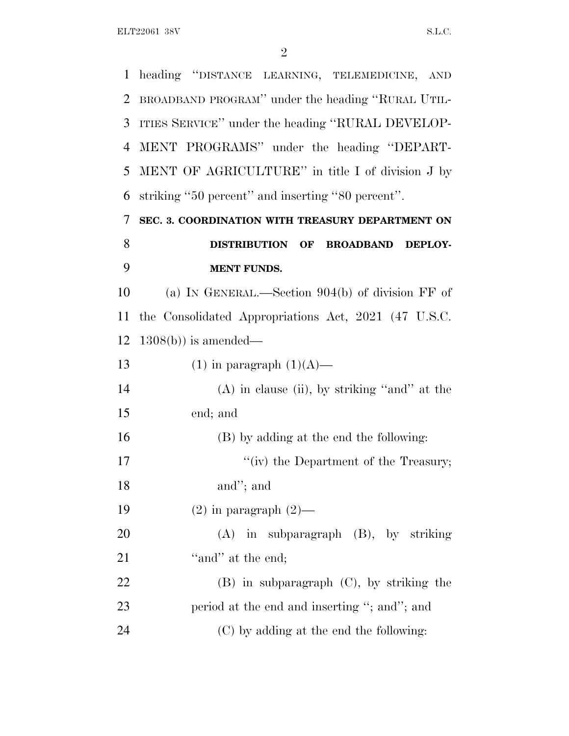heading ''DISTANCE LEARNING, TELEMEDICINE, AND BROADBAND PROGRAM'' under the heading ''RURAL UTIL- ITIES SERVICE'' under the heading ''RURAL DEVELOP- MENT PROGRAMS'' under the heading ''DEPART- MENT OF AGRICULTURE'' in title I of division J by striking ''50 percent'' and inserting ''80 percent''. **SEC. 3. COORDINATION WITH TREASURY DEPARTMENT ON DISTRIBUTION OF BROADBAND DEPLOY- MENT FUNDS.** (a) I<sup>N</sup> GENERAL.—Section 904(b) of division FF of the Consolidated Appropriations Act, 2021 (47 U.S.C. 1308(b)) is amended— 13 (1) in paragraph  $(1)(A)$ — (A) in clause (ii), by striking ''and'' at the end; and (B) by adding at the end the following: 17 ''(iv) the Department of the Treasury; and''; and  $(2)$  in paragraph  $(2)$ — (A) in subparagraph (B), by striking 21 ''and'' at the end; (B) in subparagraph (C), by striking the 23 period at the end and inserting "; and"; and (C) by adding at the end the following: